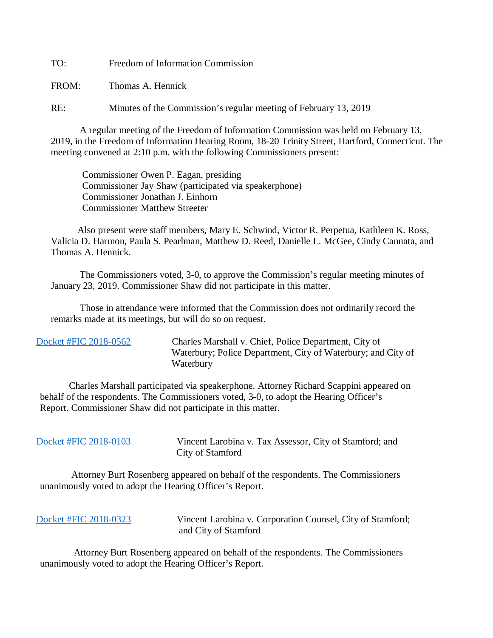TO: Freedom of Information Commission

FROM: Thomas A. Hennick

RE: Minutes of the Commission's regular meeting of February 13, 2019

A regular meeting of the Freedom of Information Commission was held on February 13, 2019, in the Freedom of Information Hearing Room, 18-20 Trinity Street, Hartford, Connecticut. The meeting convened at 2:10 p.m. with the following Commissioners present:

 Commissioner Owen P. Eagan, presiding Commissioner Jay Shaw (participated via speakerphone) Commissioner Jonathan J. Einhorn Commissioner Matthew Streeter

 Also present were staff members, Mary E. Schwind, Victor R. Perpetua, Kathleen K. Ross, Valicia D. Harmon, Paula S. Pearlman, Matthew D. Reed, Danielle L. McGee, Cindy Cannata, and Thomas A. Hennick.

The Commissioners voted, 3-0, to approve the Commission's regular meeting minutes of January 23, 2019. Commissioner Shaw did not participate in this matter.

 Those in attendance were informed that the Commission does not ordinarily record the remarks made at its meetings, but will do so on request.

 [Docket #FIC 2018-0562](https://www.ct.gov/foi/lib/foi/minutes/2019/feb13/2018-0562.pdf) Charles Marshall v. Chief, Police Department, City of Waterbury; Police Department, City of Waterbury; and City of Waterbury

 Charles Marshall participated via speakerphone. Attorney Richard Scappini appeared on behalf of the respondents. The Commissioners voted, 3-0, to adopt the Hearing Officer's Report. Commissioner Shaw did not participate in this matter.

 [Docket #FIC 2018-0103](https://www.ct.gov/foi/lib/foi/minutes/2019/feb13/2018-0103.pdf) Vincent Larobina v. Tax Assessor, City of Stamford; and City of Stamford

 Attorney Burt Rosenberg appeared on behalf of the respondents. The Commissioners unanimously voted to adopt the Hearing Officer's Report.

|  |  |  | Docket #FIC 2018-0323 |  |
|--|--|--|-----------------------|--|
|--|--|--|-----------------------|--|

[Docket #FIC 2018-0323](https://www.ct.gov/foi/lib/foi/minutes/2019/feb13/2018-0323.pdf) Vincent Larobina v. Corporation Counsel, City of Stamford; and City of Stamford

 Attorney Burt Rosenberg appeared on behalf of the respondents. The Commissioners unanimously voted to adopt the Hearing Officer's Report.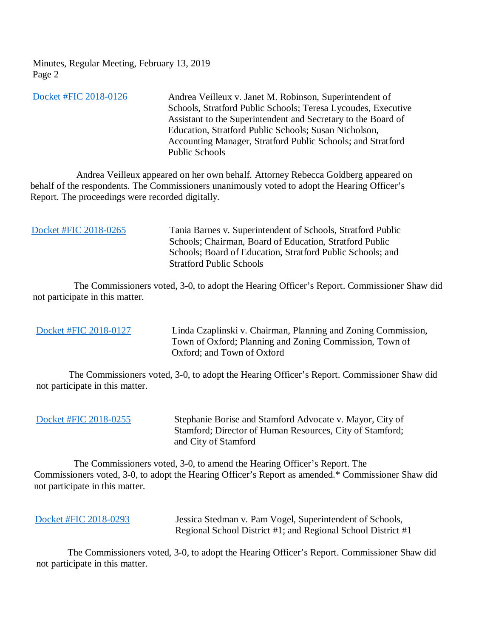Minutes, Regular Meeting, February 13, 2019 Page 2

[Docket #FIC 2018-0126](https://www.ct.gov/foi/lib/foi/minutes/2019/feb13/2018-0126.pdf) Andrea Veilleux v. Janet M. Robinson, Superintendent of Schools, Stratford Public Schools; Teresa Lycoudes, Executive Assistant to the Superintendent and Secretary to the Board of Education, Stratford Public Schools; Susan Nicholson, Accounting Manager, Stratford Public Schools; and Stratford Public Schools

 Andrea Veilleux appeared on her own behalf. Attorney Rebecca Goldberg appeared on behalf of the respondents. The Commissioners unanimously voted to adopt the Hearing Officer's Report. The proceedings were recorded digitally.

| Docket #FIC 2018-0265 | Tania Barnes v. Superintendent of Schools, Stratford Public<br>Schools; Chairman, Board of Education, Stratford Public<br>Schools; Board of Education, Stratford Public Schools; and<br><b>Stratford Public Schools</b> |
|-----------------------|-------------------------------------------------------------------------------------------------------------------------------------------------------------------------------------------------------------------------|
|                       |                                                                                                                                                                                                                         |

 The Commissioners voted, 3-0, to adopt the Hearing Officer's Report. Commissioner Shaw did not participate in this matter.

[Docket #FIC 2018-0127](https://www.ct.gov/foi/lib/foi/minutes/2019/feb13/2018-0127.pdf) Linda Czaplinski v. Chairman, Planning and Zoning Commission, Town of Oxford; Planning and Zoning Commission, Town of Oxford; and Town of Oxford

 The Commissioners voted, 3-0, to adopt the Hearing Officer's Report. Commissioner Shaw did not participate in this matter.

| Docket #FIC 2018-0255 |  |  |
|-----------------------|--|--|
|                       |  |  |

Stephanie Borise and Stamford Advocate v. Mayor, City of Stamford; Director of Human Resources, City of Stamford; and City of Stamford

 The Commissioners voted, 3-0, to amend the Hearing Officer's Report. The Commissioners voted, 3-0, to adopt the Hearing Officer's Report as amended.\* Commissioner Shaw did not participate in this matter.

| Docket #FIC 2018-0293 | Jessica Stedman v. Pam Vogel, Superintendent of Schools,     |
|-----------------------|--------------------------------------------------------------|
|                       | Regional School District #1; and Regional School District #1 |

 The Commissioners voted, 3-0, to adopt the Hearing Officer's Report. Commissioner Shaw did not participate in this matter.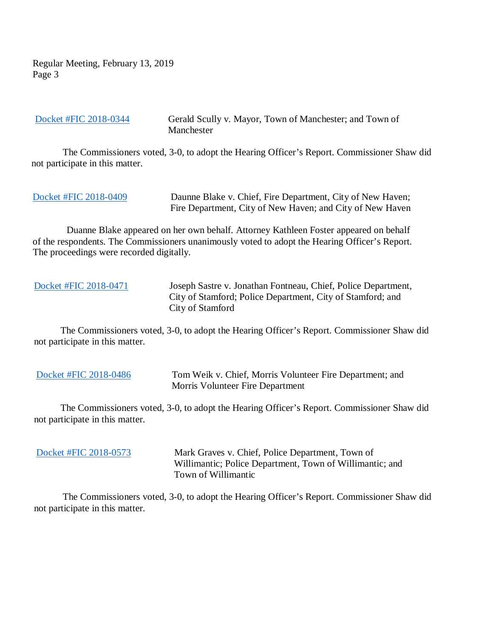Regular Meeting, February 13, 2019 Page 3

[Docket #FIC 2018-0344](https://www.ct.gov/foi/lib/foi/minutes/2019/feb13/2018-0344.pdf) Gerald Scully v. Mayor, Town of Manchester; and Town of Manchester

 The Commissioners voted, 3-0, to adopt the Hearing Officer's Report. Commissioner Shaw did not participate in this matter.

[Docket #FIC 2018-0409](https://www.ct.gov/foi/lib/foi/minutes/2019/feb13/2018-0409.pdf) Daunne Blake v. Chief, Fire Department, City of New Haven; Fire Department, City of New Haven; and City of New Haven

 Duanne Blake appeared on her own behalf. Attorney Kathleen Foster appeared on behalf of the respondents. The Commissioners unanimously voted to adopt the Hearing Officer's Report. The proceedings were recorded digitally.

 [Docket #FIC 2018-0471](https://www.ct.gov/foi/lib/foi/minutes/2019/feb13/2018-0471.pdf) Joseph Sastre v. Jonathan Fontneau, Chief, Police Department, City of Stamford; Police Department, City of Stamford; and City of Stamford

 The Commissioners voted, 3-0, to adopt the Hearing Officer's Report. Commissioner Shaw did not participate in this matter.

[Docket #FIC 2018-0486](https://www.ct.gov/foi/lib/foi/minutes/2019/feb13/2018-0486.pdf) Tom Weik v. Chief, Morris Volunteer Fire Department; and Morris Volunteer Fire Department

 The Commissioners voted, 3-0, to adopt the Hearing Officer's Report. Commissioner Shaw did not participate in this matter.

[Docket #FIC 2018-0573](https://www.ct.gov/foi/lib/foi/minutes/2019/feb13/2018-0573.pdf) Mark Graves v. Chief, Police Department, Town of Willimantic; Police Department, Town of Willimantic; and Town of Willimantic

 The Commissioners voted, 3-0, to adopt the Hearing Officer's Report. Commissioner Shaw did not participate in this matter.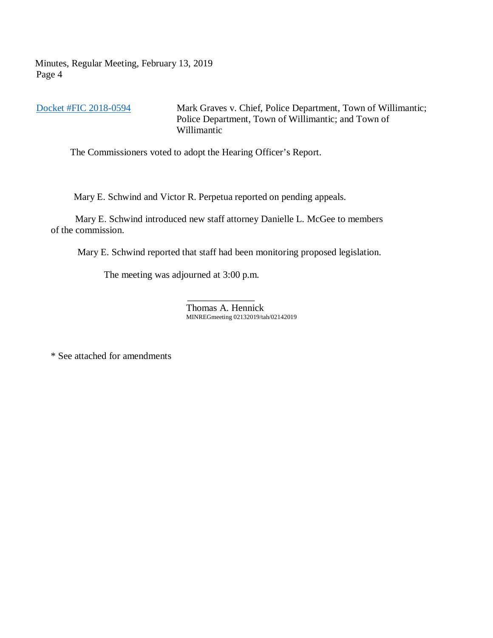Minutes, Regular Meeting, February 13, 2019 Page 4

[Docket #FIC 2018-0594](https://www.ct.gov/foi/lib/foi/minutes/2019/feb13/2018-0594.pdf) Mark Graves v. Chief, Police Department, Town of Willimantic; Police Department, Town of Willimantic; and Town of Willimantic

The Commissioners voted to adopt the Hearing Officer's Report.

Mary E. Schwind and Victor R. Perpetua reported on pending appeals.

 Mary E. Schwind introduced new staff attorney Danielle L. McGee to members of the commission.

Mary E. Schwind reported that staff had been monitoring proposed legislation.

The meeting was adjourned at 3:00 p.m.

 $\mathcal{L}_\text{max}$  and  $\mathcal{L}_\text{max}$  and  $\mathcal{L}_\text{max}$  and  $\mathcal{L}_\text{max}$ Thomas A. Hennick MINREGmeeting 02132019/tah/02142019

\* See attached for amendments